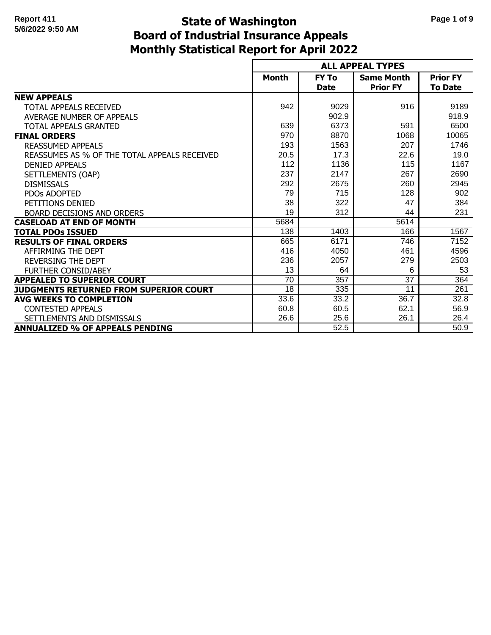# **Monthly Statistical Report for April 2022 State of Washington Page 1 of 9 Board of Industrial Insurance Appeals**

|                                              |                 |                             | <b>ALL APPEAL TYPES</b>              |                                   |
|----------------------------------------------|-----------------|-----------------------------|--------------------------------------|-----------------------------------|
|                                              | <b>Month</b>    | <b>FY To</b><br><b>Date</b> | <b>Same Month</b><br><b>Prior FY</b> | <b>Prior FY</b><br><b>To Date</b> |
| <b>NEW APPEALS</b>                           |                 |                             |                                      |                                   |
| TOTAL APPEALS RECEIVED                       | 942             | 9029                        | 916                                  | 9189                              |
| AVERAGE NUMBER OF APPEALS                    |                 | 902.9                       |                                      | 918.9                             |
| <b>TOTAL APPEALS GRANTED</b>                 | 639             | 6373                        | 591                                  | 6500                              |
| <b>FINAL ORDERS</b>                          | 970             | 8870                        | 1068                                 | 10065                             |
| <b>REASSUMED APPEALS</b>                     | 193             | 1563                        | 207                                  | 1746                              |
| REASSUMES AS % OF THE TOTAL APPEALS RECEIVED | 20.5            | 17.3                        | 22.6                                 | 19.0                              |
| <b>DENIED APPEALS</b>                        | 112             | 1136                        | 115                                  | 1167                              |
| SETTLEMENTS (OAP)                            | 237             | 2147                        | 267                                  | 2690                              |
| <b>DISMISSALS</b>                            | 292             | 2675                        | 260                                  | 2945                              |
| <b>PDOs ADOPTED</b>                          | 79              | 715                         | 128                                  | 902                               |
| PETITIONS DENIED                             | 38              | 322                         | 47                                   | 384                               |
| <b>BOARD DECISIONS AND ORDERS</b>            | 19              | 312                         | 44                                   | 231                               |
| <b>CASELOAD AT END OF MONTH</b>              | 5684            |                             | 5614                                 |                                   |
| <b>TOTAL PDOS ISSUED</b>                     | 138             | 1403                        | 166                                  | 1567                              |
| <b>RESULTS OF FINAL ORDERS</b>               | 665             | 6171                        | 746                                  | 7152                              |
| AFFIRMING THE DEPT                           | 416             | 4050                        | 461                                  | 4596                              |
| <b>REVERSING THE DEPT</b>                    | 236             | 2057                        | 279                                  | 2503                              |
| <b>FURTHER CONSID/ABEY</b>                   | 13              | 64                          | 6                                    | 53                                |
| <b>APPEALED TO SUPERIOR COURT</b>            | $\overline{70}$ | 357                         | $\overline{37}$                      | 364                               |
| JUDGMENTS RETURNED FROM SUPERIOR COURT       | $\overline{18}$ | 335                         | 11                                   | 261                               |
| <b>AVG WEEKS TO COMPLETION</b>               | 33.6            | 33.2                        | 36.7                                 | 32.8                              |
| <b>CONTESTED APPEALS</b>                     | 60.8            | 60.5                        | 62.1                                 | 56.9                              |
| SETTLEMENTS AND DISMISSALS                   | 26.6            | 25.6                        | 26.1                                 | 26.4                              |
| <b>ANNUALIZED % OF APPEALS PENDING</b>       |                 | 52.5                        |                                      | 50.9                              |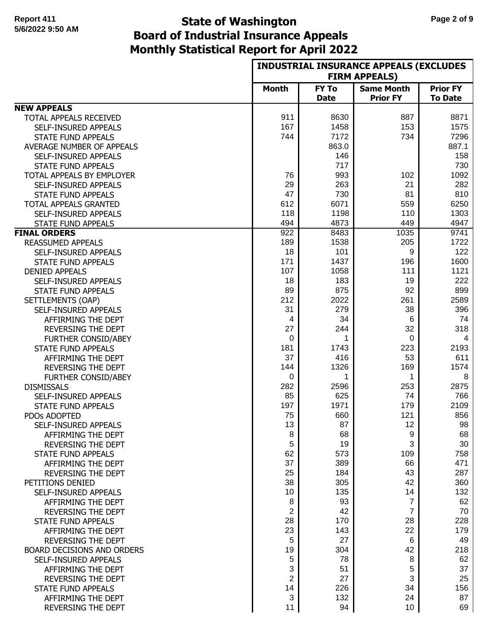# **Monthly Statistical Report for April 2022 State of Washington Page 2 of 9 Board of Industrial Insurance Appeals**

|                                  | <b>INDUSTRIAL INSURANCE APPEALS (EXCLUDES</b> |                             |                                      |                                   |
|----------------------------------|-----------------------------------------------|-----------------------------|--------------------------------------|-----------------------------------|
|                                  |                                               |                             | <b>FIRM APPEALS)</b>                 |                                   |
|                                  | <b>Month</b>                                  | <b>FY To</b><br><b>Date</b> | <b>Same Month</b><br><b>Prior FY</b> | <b>Prior FY</b><br><b>To Date</b> |
| <b>NEW APPEALS</b>               |                                               |                             |                                      |                                   |
| TOTAL APPEALS RECEIVED           | 911                                           | 8630                        | 887                                  | 8871                              |
| SELF-INSURED APPEALS             | 167                                           | 1458                        | 153                                  | 1575                              |
| <b>STATE FUND APPEALS</b>        | 744                                           | 7172                        | 734                                  | 7296                              |
| <b>AVERAGE NUMBER OF APPEALS</b> |                                               | 863.0                       |                                      | 887.1                             |
| SELF-INSURED APPEALS             |                                               | 146                         |                                      | 158                               |
| <b>STATE FUND APPEALS</b>        |                                               | 717                         |                                      | 730                               |
| TOTAL APPEALS BY EMPLOYER        | 76                                            | 993                         | 102                                  | 1092                              |
| SELF-INSURED APPEALS             | 29                                            | 263                         | 21                                   | 282                               |
| <b>STATE FUND APPEALS</b>        | 47                                            | 730                         | 81                                   | 810                               |
| TOTAL APPEALS GRANTED            | 612                                           | 6071                        | 559                                  | 6250                              |
| SELF-INSURED APPEALS             | 118                                           | 1198                        | 110                                  | 1303                              |
| <b>STATE FUND APPEALS</b>        | 494                                           | 4873                        | 449                                  | 4947                              |
| <b>FINAL ORDERS</b>              | $\overline{922}$                              | 8483                        | 1035                                 | 9741                              |
| <b>REASSUMED APPEALS</b>         | 189                                           | 1538                        | 205                                  | 1722                              |
| SELF-INSURED APPEALS             | 18                                            | 101                         | 9                                    | 122                               |
| <b>STATE FUND APPEALS</b>        | 171                                           | 1437                        | 196                                  | 1600                              |
| <b>DENIED APPEALS</b>            | 107                                           | 1058                        | 111                                  | 1121                              |
| SELF-INSURED APPEALS             | 18                                            | 183                         | 19                                   | 222                               |
| <b>STATE FUND APPEALS</b>        | 89                                            | 875                         | 92                                   | 899                               |
| SETTLEMENTS (OAP)                | 212                                           | 2022                        | 261                                  | 2589                              |
| SELF-INSURED APPEALS             | 31                                            | 279                         | 38                                   | 396                               |
| AFFIRMING THE DEPT               | 4                                             | 34                          | 6                                    | 74                                |
| REVERSING THE DEPT               | 27                                            | 244                         | 32                                   | 318                               |
| <b>FURTHER CONSID/ABEY</b>       | $\mathbf 0$                                   | 1                           | 0                                    | 4                                 |
| <b>STATE FUND APPEALS</b>        | 181                                           | 1743                        | 223                                  | 2193                              |
| AFFIRMING THE DEPT               | 37                                            | 416                         | 53                                   | 611                               |
| REVERSING THE DEPT               | 144                                           | 1326                        | 169                                  | 1574                              |
| <b>FURTHER CONSID/ABEY</b>       | 0                                             | 1                           | 1                                    | 8                                 |
| <b>DISMISSALS</b>                | 282                                           | 2596                        | 253                                  | 2875                              |
| SELF-INSURED APPEALS             | 85                                            | 625                         | 74                                   | 766                               |
| <b>STATE FUND APPEALS</b>        | 197                                           | 1971                        | 179                                  | 2109                              |
| PDOs ADOPTED                     | 75                                            | 660                         | 121                                  | 856                               |
| SELF-INSURED APPEALS             | 13                                            | 87                          | 12                                   | 98                                |
| AFFIRMING THE DEPT               | 8                                             | 68                          | 9                                    | 68                                |
| REVERSING THE DEPT               | 5                                             | 19                          | 3                                    | 30                                |
| <b>STATE FUND APPEALS</b>        | 62                                            | 573                         | 109                                  | 758                               |
| AFFIRMING THE DEPT               | 37                                            | 389                         | 66                                   | 471                               |
| REVERSING THE DEPT               | 25                                            | 184                         | 43                                   | 287                               |
| PETITIONS DENIED                 | 38                                            | 305                         | 42                                   | 360                               |
| SELF-INSURED APPEALS             | 10                                            | 135                         | 14                                   | 132                               |
| AFFIRMING THE DEPT               | 8                                             | 93                          | $\overline{7}$                       | 62                                |
| <b>REVERSING THE DEPT</b>        | $\overline{2}$                                | 42                          | $\overline{7}$                       | 70                                |
| <b>STATE FUND APPEALS</b>        | 28                                            | 170                         | 28                                   | 228                               |
| AFFIRMING THE DEPT               | 23                                            | 143                         | 22                                   | 179                               |
| REVERSING THE DEPT               | 5                                             | 27                          | 6                                    | 49                                |
| BOARD DECISIONS AND ORDERS       | 19                                            | 304                         | 42                                   | 218                               |
| SELF-INSURED APPEALS             | 5                                             | 78                          | 8                                    | 62                                |
| AFFIRMING THE DEPT               | 3                                             | 51                          | 5                                    | 37                                |
| <b>REVERSING THE DEPT</b>        | $\overline{2}$                                | 27                          | 3                                    | 25                                |
| <b>STATE FUND APPEALS</b>        | 14                                            | 226                         | 34                                   | 156                               |
| AFFIRMING THE DEPT               | 3                                             | 132                         | 24                                   | 87                                |
| REVERSING THE DEPT               | 11                                            | 94                          | 10 <sup>°</sup>                      | 69                                |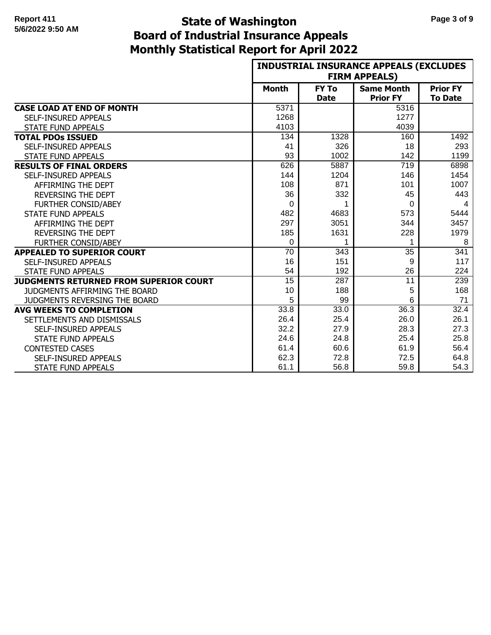# **Monthly Statistical Report for April 2022 State of Washington Page 3 of 9 Board of Industrial Insurance Appeals**

|                                               |                 |              | <b>INDUSTRIAL INSURANCE APPEALS (EXCLUDES</b><br><b>FIRM APPEALS)</b> |                 |
|-----------------------------------------------|-----------------|--------------|-----------------------------------------------------------------------|-----------------|
|                                               | <b>Month</b>    | <b>FY To</b> | <b>Same Month</b>                                                     | <b>Prior FY</b> |
|                                               |                 | <b>Date</b>  | <b>Prior FY</b>                                                       | <b>To Date</b>  |
| <b>CASE LOAD AT END OF MONTH</b>              | 5371            |              | 5316                                                                  |                 |
| <b>SELF-INSURED APPEALS</b>                   | 1268            |              | 1277                                                                  |                 |
| <b>STATE FUND APPEALS</b>                     | 4103            |              | 4039                                                                  |                 |
| <b>TOTAL PDOs ISSUED</b>                      | 134             | 1328         | 160                                                                   | 1492            |
| <b>SELF-INSURED APPEALS</b>                   | 41              | 326          | 18                                                                    | 293             |
| <b>STATE FUND APPEALS</b>                     | 93              | 1002         | 142                                                                   | 1199            |
| <b>RESULTS OF FINAL ORDERS</b>                | 626             | 5887         | 719                                                                   | 6898            |
| SELF-INSURED APPEALS                          | 144             | 1204         | 146                                                                   | 1454            |
| AFFIRMING THE DEPT                            | 108             | 871          | 101                                                                   | 1007            |
| <b>REVERSING THE DEPT</b>                     | 36              | 332          | 45                                                                    | 443             |
| <b>FURTHER CONSID/ABEY</b>                    | $\Omega$        | 1            | $\Omega$                                                              | 4               |
| <b>STATE FUND APPEALS</b>                     | 482             | 4683         | 573                                                                   | 5444            |
| AFFIRMING THE DEPT                            | 297             | 3051         | 344                                                                   | 3457            |
| <b>REVERSING THE DEPT</b>                     | 185             | 1631         | 228                                                                   | 1979            |
| <b>FURTHER CONSID/ABEY</b>                    | 0               | 1            |                                                                       | 8               |
| <b>APPEALED TO SUPERIOR COURT</b>             | 70              | 343          | 35                                                                    | 341             |
| <b>SELF-INSURED APPEALS</b>                   | 16              | 151          | 9                                                                     | 117             |
| <b>STATE FUND APPEALS</b>                     | 54              | 192          | 26                                                                    | 224             |
| <b>JUDGMENTS RETURNED FROM SUPERIOR COURT</b> | $\overline{15}$ | 287          | 11                                                                    | 239             |
| <b>JUDGMENTS AFFIRMING THE BOARD</b>          | 10              | 188          | 5                                                                     | 168             |
| JUDGMENTS REVERSING THE BOARD                 | 5               | 99           | 6                                                                     | 71              |
| <b>AVG WEEKS TO COMPLETION</b>                | 33.8            | 33.0         | 36.3                                                                  | 32.4            |
| SETTLEMENTS AND DISMISSALS                    | 26.4            | 25.4         | 26.0                                                                  | 26.1            |
| <b>SELF-INSURED APPEALS</b>                   | 32.2            | 27.9         | 28.3                                                                  | 27.3            |
| <b>STATE FUND APPEALS</b>                     | 24.6            | 24.8         | 25.4                                                                  | 25.8            |
| <b>CONTESTED CASES</b>                        | 61.4            | 60.6         | 61.9                                                                  | 56.4            |
| <b>SELF-INSURED APPEALS</b>                   | 62.3            | 72.8         | 72.5                                                                  | 64.8            |
| <b>STATE FUND APPEALS</b>                     | 61.1            | 56.8         | 59.8                                                                  | 54.3            |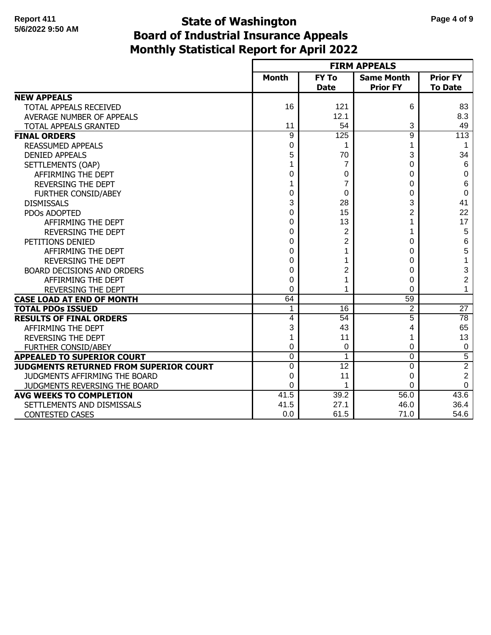# **Monthly Statistical Report for April 2022 State of Washington Page 4 of 9 Board of Industrial Insurance Appeals**

|                                               |                |                             | <b>FIRM APPEALS</b>                  |                                   |
|-----------------------------------------------|----------------|-----------------------------|--------------------------------------|-----------------------------------|
|                                               | <b>Month</b>   | <b>FY To</b><br><b>Date</b> | <b>Same Month</b><br><b>Prior FY</b> | <b>Prior FY</b><br><b>To Date</b> |
| <b>NEW APPEALS</b>                            |                |                             |                                      |                                   |
| TOTAL APPEALS RECEIVED                        | 16             | 121                         | 6                                    | 83                                |
| AVERAGE NUMBER OF APPEALS                     |                | 12.1                        |                                      | 8.3                               |
| TOTAL APPEALS GRANTED                         | 11             | 54                          | 3                                    | 49                                |
| <b>FINAL ORDERS</b>                           | $\overline{9}$ | 125                         | $\overline{9}$                       | 113                               |
| <b>REASSUMED APPEALS</b>                      | 0              | 1                           | 1                                    | 1                                 |
| <b>DENIED APPEALS</b>                         | 5              | 70                          | 3                                    | 34                                |
| SETTLEMENTS (OAP)                             | 1              | 7                           | 0                                    | 6                                 |
| AFFIRMING THE DEPT                            | 0              | 0                           | 0                                    | 0                                 |
| <b>REVERSING THE DEPT</b>                     | 1              | 7                           | 0                                    | 6                                 |
| <b>FURTHER CONSID/ABEY</b>                    | 0              | 0                           | 0                                    | $\mathbf 0$                       |
| <b>DISMISSALS</b>                             | 3              | 28                          | 3                                    | 41                                |
| PDOs ADOPTED                                  | 0              | 15                          | $\overline{2}$                       | 22                                |
| AFFIRMING THE DEPT                            | 0              | 13                          |                                      | 17                                |
| <b>REVERSING THE DEPT</b>                     | 0              | $\overline{2}$              |                                      | 5                                 |
| PETITIONS DENIED                              | 0              | $\overline{2}$              | 0                                    | 6                                 |
| AFFIRMING THE DEPT                            | 0              | 1                           | 0                                    | 5                                 |
| <b>REVERSING THE DEPT</b>                     | $\Omega$       | 1                           | 0                                    | $\mathbf 1$                       |
| <b>BOARD DECISIONS AND ORDERS</b>             | $\Omega$       | $\overline{2}$              | 0                                    | 3                                 |
| AFFIRMING THE DEPT                            | $\Omega$       | 1                           | 0                                    | $\overline{c}$                    |
| <b>REVERSING THE DEPT</b>                     | $\Omega$       | 1                           | $\Omega$                             | $\mathbf{1}$                      |
| <b>CASE LOAD AT END OF MONTH</b>              | 64             |                             | 59                                   |                                   |
| <b>TOTAL PDOS ISSUED</b>                      | 1              | 16                          | $\overline{2}$                       | $\overline{27}$                   |
| <b>RESULTS OF FINAL ORDERS</b>                | 4              | $\overline{54}$             | 5                                    | 78                                |
| AFFIRMING THE DEPT                            | 3              | 43                          | 4                                    | 65                                |
| <b>REVERSING THE DEPT</b>                     | 1              | 11                          | 1                                    | 13                                |
| <b>FURTHER CONSID/ABEY</b>                    | 0              | 0                           | 0                                    | 0                                 |
| <b>APPEALED TO SUPERIOR COURT</b>             | $\overline{0}$ | 1                           | $\overline{0}$                       | $\overline{5}$                    |
| <b>JUDGMENTS RETURNED FROM SUPERIOR COURT</b> | $\Omega$       | $\overline{12}$             | $\Omega$                             | $\overline{2}$                    |
| JUDGMENTS AFFIRMING THE BOARD                 | 0              | 11                          | 0                                    | $\overline{c}$                    |
| JUDGMENTS REVERSING THE BOARD                 | 0              | 1                           | $\Omega$                             | 0                                 |
| <b>AVG WEEKS TO COMPLETION</b>                | 41.5           | 39.2                        | 56.0                                 | 43.6                              |
| SETTLEMENTS AND DISMISSALS                    | 41.5           | 27.1                        | 46.0                                 | 36.4                              |
| <b>CONTESTED CASES</b>                        | 0.0            | 61.5                        | 71.0                                 | 54.6                              |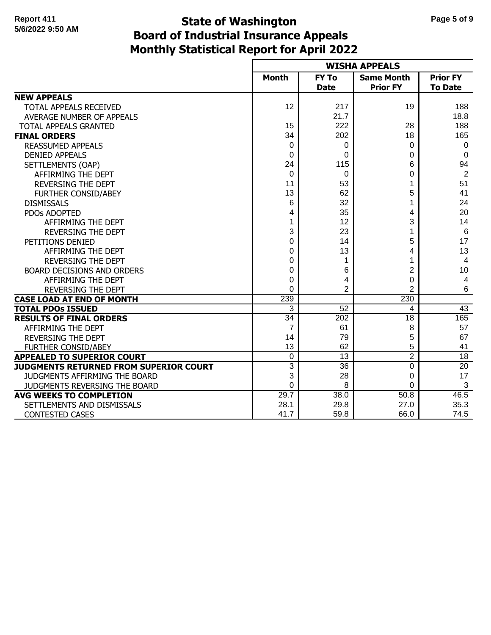# **Monthly Statistical Report for April 2022 State of Washington Page 5 of 9 Board of Industrial Insurance Appeals**

|                                        |                 |                 | <b>WISHA APPEALS</b> |                 |
|----------------------------------------|-----------------|-----------------|----------------------|-----------------|
|                                        | <b>Month</b>    | <b>FY To</b>    | <b>Same Month</b>    | <b>Prior FY</b> |
|                                        |                 | <b>Date</b>     | <b>Prior FY</b>      | <b>To Date</b>  |
| <b>NEW APPEALS</b>                     |                 |                 |                      |                 |
| TOTAL APPEALS RECEIVED                 | 12              | 217             | 19                   | 188             |
| <b>AVERAGE NUMBER OF APPEALS</b>       |                 | 21.7            |                      | 18.8            |
| TOTAL APPEALS GRANTED                  | 15              | 222             | 28                   | 188             |
| <b>FINAL ORDERS</b>                    | $\overline{34}$ | 202             | 18                   | 165             |
| <b>REASSUMED APPEALS</b>               | 0               | 0               | 0                    | 0               |
| <b>DENIED APPEALS</b>                  | 0               | 0               | 0                    | $\mathbf 0$     |
| SETTLEMENTS (OAP)                      | 24              | 115             | 6                    | 94              |
| AFFIRMING THE DEPT                     | 0               | 0               | 0                    | $\overline{2}$  |
| <b>REVERSING THE DEPT</b>              | 11              | 53              |                      | 51              |
| FURTHER CONSID/ABEY                    | 13              | 62              | 5                    | 41              |
| <b>DISMISSALS</b>                      | 6               | 32              |                      | 24              |
| PDOs ADOPTED                           | 4               | 35              | 4                    | 20              |
| AFFIRMING THE DEPT                     |                 | 12              | 3                    | 14              |
| REVERSING THE DEPT                     | 3               | 23              |                      | 6               |
| PETITIONS DENIED                       | 0               | 14              | 5                    | 17              |
| AFFIRMING THE DEPT                     | 0               | 13              | 4                    | 13              |
| <b>REVERSING THE DEPT</b>              | $\Omega$        | 1               |                      | $\overline{4}$  |
| <b>BOARD DECISIONS AND ORDERS</b>      | $\Omega$        | 6               | 2                    | 10              |
| AFFIRMING THE DEPT                     | 0               | 4               | 0                    | $\overline{4}$  |
| REVERSING THE DEPT                     | 0               | $\overline{2}$  | 2                    | 6               |
| <b>CASE LOAD AT END OF MONTH</b>       | 239             |                 | 230                  |                 |
| <b>TOTAL PDOs ISSUED</b>               | 3               | $\overline{52}$ | 4                    | 43              |
| <b>RESULTS OF FINAL ORDERS</b>         | $\overline{34}$ | 202             | 18                   | 165             |
| AFFIRMING THE DEPT                     | $\overline{7}$  | 61              | 8                    | 57              |
| <b>REVERSING THE DEPT</b>              | 14              | 79              | 5                    | 67              |
| <b>FURTHER CONSID/ABEY</b>             | 13              | 62              | 5                    | 41              |
| <b>APPEALED TO SUPERIOR COURT</b>      | $\mathbf 0$     | 13              | $\overline{2}$       | 18              |
| JUDGMENTS RETURNED FROM SUPERIOR COURT | 3               | 36              | $\mathbf 0$          | 20              |
| JUDGMENTS AFFIRMING THE BOARD          | 3               | 28              | 0                    | 17              |
| JUDGMENTS REVERSING THE BOARD          | $\Omega$        | 8               | $\Omega$             | 3               |
| <b>AVG WEEKS TO COMPLETION</b>         | 29.7            | 38.0            | 50.8                 | 46.5            |
| SETTLEMENTS AND DISMISSALS             | 28.1            | 29.8            | 27.0                 | 35.3            |
| <b>CONTESTED CASES</b>                 | 41.7            | 59.8            | 66.0                 | 74.5            |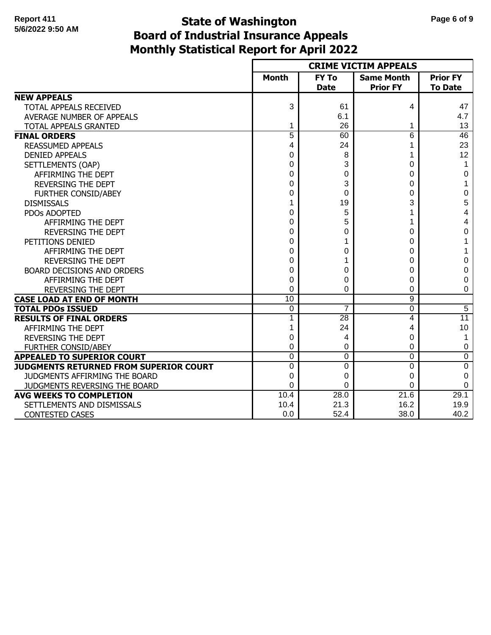# **Monthly Statistical Report for April 2022 State of Washington Page 6 of 9 Board of Industrial Insurance Appeals**

|                                        |                 |                             | <b>CRIME VICTIM APPEALS</b>          |                                   |
|----------------------------------------|-----------------|-----------------------------|--------------------------------------|-----------------------------------|
|                                        | <b>Month</b>    | <b>FY To</b><br><b>Date</b> | <b>Same Month</b><br><b>Prior FY</b> | <b>Prior FY</b><br><b>To Date</b> |
| <b>NEW APPEALS</b>                     |                 |                             |                                      |                                   |
| TOTAL APPEALS RECEIVED                 | 3               | 61                          | 4                                    | 47                                |
| AVERAGE NUMBER OF APPEALS              |                 | 6.1                         |                                      | 4.7                               |
| TOTAL APPEALS GRANTED                  | 1               | 26                          |                                      | 13                                |
| <b>FINAL ORDERS</b>                    | $\overline{5}$  | 60                          | $6\overline{6}$                      | 46                                |
| <b>REASSUMED APPEALS</b>               | 4               | 24                          |                                      | 23                                |
| <b>DENIED APPEALS</b>                  | 0               | 8                           |                                      | 12                                |
| SETTLEMENTS (OAP)                      | 0               | 3                           | 0                                    | 1                                 |
| AFFIRMING THE DEPT                     | 0               | 0                           | 0                                    | 0                                 |
| <b>REVERSING THE DEPT</b>              | 0               | 3                           | 0                                    | 1                                 |
| FURTHER CONSID/ABEY                    | 0               | 0                           | 0                                    | 0                                 |
| <b>DISMISSALS</b>                      |                 | 19                          | 3                                    | 5                                 |
| PDOs ADOPTED                           | 0               | 5                           |                                      | 4                                 |
| AFFIRMING THE DEPT                     | 0               | 5                           |                                      | 4                                 |
| <b>REVERSING THE DEPT</b>              | 0               | 0                           | 0                                    | 0                                 |
| PETITIONS DENIED                       | 0               | 1                           | 0                                    | 1                                 |
| AFFIRMING THE DEPT                     | 0               | 0                           | 0                                    | 1                                 |
| <b>REVERSING THE DEPT</b>              | 0               | 1                           | ი                                    | 0                                 |
| <b>BOARD DECISIONS AND ORDERS</b>      | 0               | 0                           | 0                                    | 0                                 |
| AFFIRMING THE DEPT                     | 0               | 0                           | 0                                    | 0                                 |
| <b>REVERSING THE DEPT</b>              | $\Omega$        | 0                           | 0                                    | 0                                 |
| <b>CASE LOAD AT END OF MONTH</b>       | $\overline{10}$ |                             | $\overline{9}$                       |                                   |
| <b>TOTAL PDOS ISSUED</b>               | 0               | 7                           | 0                                    | $\overline{5}$                    |
| <b>RESULTS OF FINAL ORDERS</b>         |                 | $\overline{28}$             | 4                                    | $\overline{11}$                   |
| AFFIRMING THE DEPT                     |                 | 24                          | 4                                    | 10                                |
| <b>REVERSING THE DEPT</b>              | 0               | 4                           | 0                                    | 1                                 |
| <b>FURTHER CONSID/ABEY</b>             | 0               | 0                           | 0                                    | 0                                 |
| <b>APPEALED TO SUPERIOR COURT</b>      | $\Omega$        | 0                           | $\Omega$                             | 0                                 |
| JUDGMENTS RETURNED FROM SUPERIOR COURT | $\Omega$        | 0                           | $\Omega$                             | $\overline{0}$                    |
| JUDGMENTS AFFIRMING THE BOARD          | 0               | 0                           | $\Omega$                             | 0                                 |
| JUDGMENTS REVERSING THE BOARD          | $\Omega$        | 0                           | $\Omega$                             | 0                                 |
| <b>AVG WEEKS TO COMPLETION</b>         | 10.4            | 28.0                        | 21.6                                 | 29.1                              |
| SETTLEMENTS AND DISMISSALS             | 10.4            | 21.3                        | 16.2                                 | 19.9                              |
| <b>CONTESTED CASES</b>                 | 0.0             | 52.4                        | 38.0                                 | 40.2                              |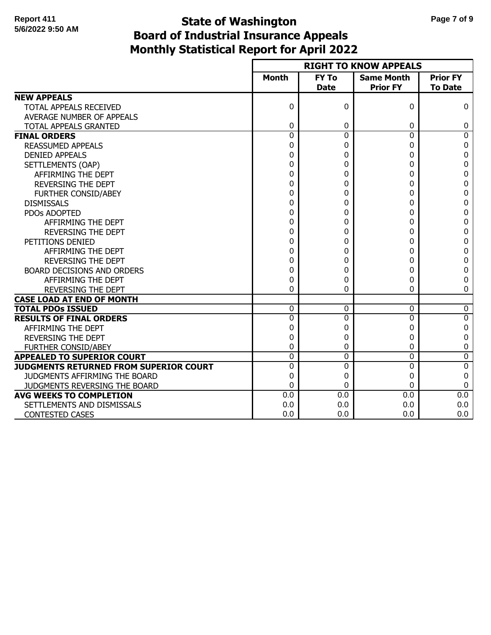# **Monthly Statistical Report for April 2022 State of Washington Page 7 of 9 Board of Industrial Insurance Appeals**

|                                        |                |                             | <b>RIGHT TO KNOW APPEALS</b>         |                                   |
|----------------------------------------|----------------|-----------------------------|--------------------------------------|-----------------------------------|
|                                        | <b>Month</b>   | <b>FY To</b><br><b>Date</b> | <b>Same Month</b><br><b>Prior FY</b> | <b>Prior FY</b><br><b>To Date</b> |
| <b>NEW APPEALS</b>                     |                |                             |                                      |                                   |
| TOTAL APPEALS RECEIVED                 | $\Omega$       | 0                           | 0                                    | 0                                 |
| AVERAGE NUMBER OF APPEALS              |                |                             |                                      |                                   |
| TOTAL APPEALS GRANTED                  | 0              | 0                           | 0                                    | 0                                 |
| <b>FINAL ORDERS</b>                    | $\overline{0}$ | $\overline{0}$              | $\mathbf 0$                          | $\overline{0}$                    |
| <b>REASSUMED APPEALS</b>               | 0              | 0                           | 0                                    | 0                                 |
| <b>DENIED APPEALS</b>                  | 0              | 0                           | 0                                    | 0                                 |
| SETTLEMENTS (OAP)                      | 0              | 0                           | 0                                    | 0                                 |
| AFFIRMING THE DEPT                     | 0              | 0                           | 0                                    | 0                                 |
| <b>REVERSING THE DEPT</b>              | 0              | 0                           | 0                                    | 0                                 |
| <b>FURTHER CONSID/ABEY</b>             | 0              | 0                           | 0                                    | 0                                 |
| <b>DISMISSALS</b>                      | 0              | 0                           | 0                                    | 0                                 |
| PDOs ADOPTED                           | 0              | 0                           | 0                                    | 0                                 |
| AFFIRMING THE DEPT                     | 0              | 0                           | 0                                    | 0                                 |
| <b>REVERSING THE DEPT</b>              | 0              | 0                           | 0                                    | 0                                 |
| PETITIONS DENIED                       | 0              | 0                           | 0                                    | 0                                 |
| AFFIRMING THE DEPT                     | 0              | 0                           | 0                                    | 0                                 |
| <b>REVERSING THE DEPT</b>              | 0              | 0                           | 0                                    | 0                                 |
| BOARD DECISIONS AND ORDERS             | 0              | 0                           | 0                                    | 0                                 |
| AFFIRMING THE DEPT                     | 0              | 0                           | 0                                    | 0                                 |
| REVERSING THE DEPT                     | 0              | 0                           | 0                                    | 0                                 |
| <b>CASE LOAD AT END OF MONTH</b>       |                |                             |                                      |                                   |
| <b>TOTAL PDOs ISSUED</b>               | $\Omega$       | 0                           | $\Omega$                             | 0                                 |
| <b>RESULTS OF FINAL ORDERS</b>         | $\Omega$       | 0                           | $\Omega$                             | $\overline{0}$                    |
| AFFIRMING THE DEPT                     | 0              | 0                           | 0                                    | 0                                 |
| <b>REVERSING THE DEPT</b>              | 0              | 0                           | 0                                    | 0                                 |
| <b>FURTHER CONSID/ABEY</b>             | 0              | 0                           | 0                                    | 0                                 |
| <b>APPEALED TO SUPERIOR COURT</b>      | $\Omega$       | 0                           | $\Omega$                             | 0                                 |
| JUDGMENTS RETURNED FROM SUPERIOR COURT | $\Omega$       | 0                           | $\Omega$                             | 0                                 |
| JUDGMENTS AFFIRMING THE BOARD          | 0              | 0                           | 0                                    | 0                                 |
| JUDGMENTS REVERSING THE BOARD          | 0              | 0                           | 0                                    | 0                                 |
| <b>AVG WEEKS TO COMPLETION</b>         | 0.0            | $\overline{0.0}$            | 0.0                                  | 0.0                               |
| SETTLEMENTS AND DISMISSALS             | 0.0            | 0.0                         | 0.0                                  | 0.0                               |
| <b>CONTESTED CASES</b>                 | 0.0            | 0.0                         | 0.0                                  | 0.0                               |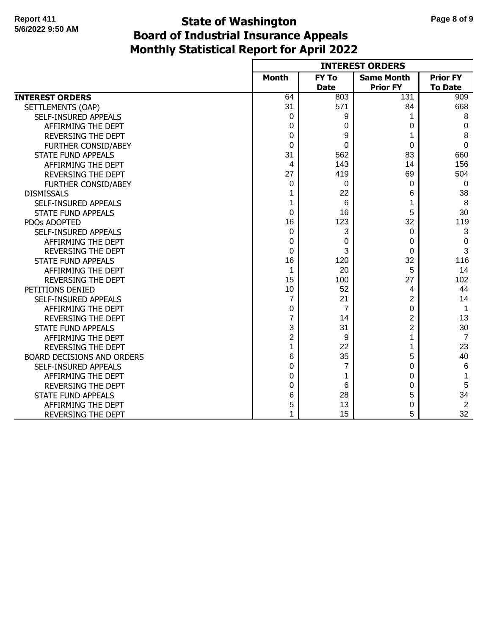## **Monthly Statistical Report for April 2022 State of Washington Page 8 of 9 Board of Industrial Insurance Appeals**

|                                   |                  |                | <b>INTEREST ORDERS</b> |                 |
|-----------------------------------|------------------|----------------|------------------------|-----------------|
|                                   | <b>Month</b>     | <b>FY To</b>   | <b>Same Month</b>      | <b>Prior FY</b> |
|                                   |                  | <b>Date</b>    | <b>Prior FY</b>        | <b>To Date</b>  |
| <b>INTEREST ORDERS</b>            | 64               | 803            | 131                    | 909             |
| SETTLEMENTS (OAP)                 | 31               | 571            | 84                     | 668             |
| SELF-INSURED APPEALS              | 0                | 9              |                        | 8               |
| AFFIRMING THE DEPT                | 0                | 0              | 0                      | 0               |
| <b>REVERSING THE DEPT</b>         | 0                | 9              |                        | 8               |
| FURTHER CONSID/ABEY               | 0                | 0              | 0                      | 0               |
| <b>STATE FUND APPEALS</b>         | 31               | 562            | 83                     | 660             |
| AFFIRMING THE DEPT                | 4                | 143            | 14                     | 156             |
| <b>REVERSING THE DEPT</b>         | 27               | 419            | 69                     | 504             |
| FURTHER CONSID/ABEY               | 0                | 0              | 0                      | 0               |
| <b>DISMISSALS</b>                 | 1                | 22             | 6                      | 38              |
| SELF-INSURED APPEALS              | 1                | 6              |                        | 8               |
| <b>STATE FUND APPEALS</b>         | 0                | 16             | 5                      | 30              |
| PDOs ADOPTED                      | 16               | 123            | 32                     | 119             |
| SELF-INSURED APPEALS              | 0                | 3              | 0                      | 3               |
| AFFIRMING THE DEPT                | 0                | 0              | 0                      | 0               |
| <b>REVERSING THE DEPT</b>         | 0                | 3              | 0                      | 3               |
| <b>STATE FUND APPEALS</b>         | 16               | 120            | 32                     | 116             |
| AFFIRMING THE DEPT                | 1                | 20             | 5                      | 14              |
| <b>REVERSING THE DEPT</b>         | 15               | 100            | 27                     | 102             |
| PETITIONS DENIED                  | 10               | 52             | 4                      | 44              |
| SELF-INSURED APPEALS              | $\overline{7}$   | 21             | $\overline{2}$         | 14              |
| AFFIRMING THE DEPT                | 0                | $\overline{7}$ | $\Omega$               | 1               |
| <b>REVERSING THE DEPT</b>         | 7                | 14             | $\overline{2}$         | 13              |
| <b>STATE FUND APPEALS</b>         | 3                | 31             | $\overline{2}$         | 30              |
| AFFIRMING THE DEPT                | $\boldsymbol{2}$ | 9              | 1                      | $\overline{7}$  |
| <b>REVERSING THE DEPT</b>         | 1                | 22             |                        | 23              |
| <b>BOARD DECISIONS AND ORDERS</b> | 6                | 35             | 5                      | 40              |
| SELF-INSURED APPEALS              | 0                | 7              | 0                      | 6               |
| AFFIRMING THE DEPT                | 0                | 1              | 0                      | 1               |
| <b>REVERSING THE DEPT</b>         | 0                | 6              | 0                      | 5               |
| <b>STATE FUND APPEALS</b>         | 6                | 28             | 5                      | 34              |
| AFFIRMING THE DEPT                | 5                | 13             | 0                      | $\overline{2}$  |
| REVERSING THE DEPT                | 1                | 15             | 5                      | 32              |